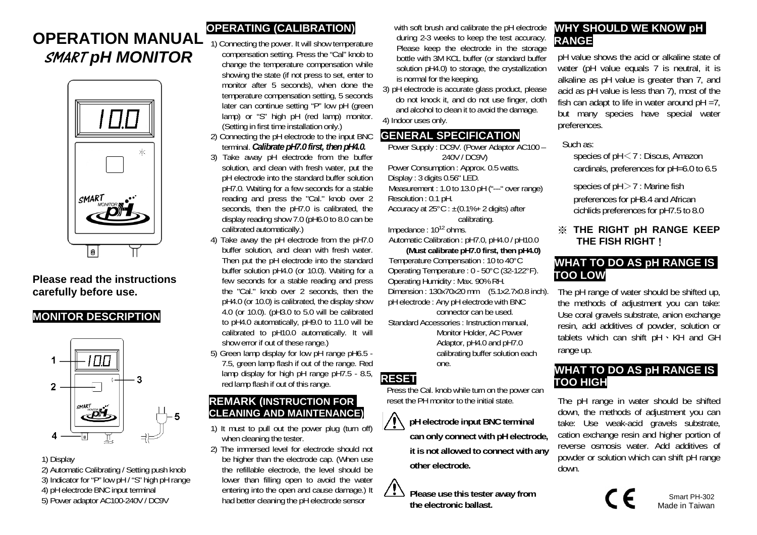# **OPERATION MANUAL**  SMART *pH MONITOR*



### **Please read the instructions carefully before use.**

#### **MONITOR DESCRIPTION**



1) Display

2) Automatic Calibrating / Setting push knob 3) Indicator for "P" low pH / "S" high pH range 4) pH electrode BNC input terminal

5) Power adaptor AC100-240V / DC9V

## **OPERATING (CALIBRATION)**

- 1) Connecting the power. It will show temperature compensation setting. Press the "Cal" knob to change the temperature compensation while showing the state (if not press to set, enter to monitor after 5 seconds), when done the temperature compensation setting, 5 seconds later can continue setting "P" low pH (green lamp) or "S" high pH (red lamp) monitor. (Setting in first time installation only.)
- 2) Connecting the pH electrode to the input BNC terminal. *Calibrate pH7.0 first, then pH4.0.*
- 3) Take away pH electrode from the buffer solution, and clean with fresh water, put the pH electrode into the standard buffer solution pH7.0. Waiting for a few seconds for a stable reading and press the "Cal." knob over 2 seconds, then the pH7.0 is calibrated, the display reading show 7.0 (pH6.0 to 8.0 can be calibrated automatically.)
- 4) Take away the pH electrode from the pH7.0 buffer solution, and clean with fresh water. Then put the pH electrode into the standard buffer solution pH4.0 (or 10.0). Waiting for a few seconds for a stable reading and press the "Cal." knob over 2 seconds, then the pH4.0 (or 10.0) is calibrated, the display show 4.0 (or 10.0). (pH3.0 to 5.0 will be calibrated to pH4.0 automatically, pH9.0 to 11.0 will be calibrated to pH10.0 automatically. It will show error if out of these range.)
- 5) Green lamp display for low pH range pH6.5 7.5, green lamp flash if out of the range. Red lamp display for high pH range pH7.5 - 8.5, red lamp flash if out of this range.

#### **REMARK (INSTRUCTION FOR CLEANING AND MAINTENANCE)**

- 1) It must to pull out the power plug (turn off) when cleaning the tester.
- 2) The immersed level for electrode should not be higher than the electrode cap. (When use the refillable electrode, the level should be lower than filling open to avoid the water entering into the open and cause damage.) It had better cleaning the pH electrode sensor

with soft brush and calibrate the pH electrode during 2-3 weeks to keep the test accuracy. Please keep the electrode in the storage bottle with 3M KCL buffer (or standard buffer solution pH4.0) to storage, the crystallization is normal for the keeping.

3) pH electrode is accurate glass product, please do not knock it, and do not use finger, cloth and alcohol to clean it to avoid the damage. 4) Indoor uses only.

### **GENERAL SPECIFICATION**

Power Supply : DC9V. (Power Adaptor AC100 – 240V / DC9V) Power Consumption : Approx. 0.5 watts. Display : 3 digits 0.56" LED. Measurement : 1.0 to 13.0 pH ("---" over range) Resolution : 0.1 pH. Accuracy at  $25^{\circ}$ C :  $\pm$ (0.1%+ 2 digits) after calibrating.

Impedance : 1012 ohms. Automatic Calibration : pH7.0, pH4.0 / pH10.0

**(Must calibrate pH7.0 first, then pH4.0)** 

Temperature Compensation : 10 to 40°C Operating Temperature : 0 - 50°C (32-122°F). Operating Humidity : Max. 90% RH. Dimension : 130x70x20 mm (5.1x2.7x0.8 inch). pH electrode : Any pH electrode with BNC

connector can be used. Standard Accessories : Instruction manual, Monitor Holder, AC Power

Adaptor, pH4.0 and pH7.0 calibrating buffer solution each one.

## **RESET**

 $\bigwedge$ 

Press the Cal. knob while turn on the power can reset the PH monitor to the initial state.

> **pH electrode input BNC terminal can only connect with pH electrode, it is not allowed to connect with any other electrode.**

*<u>13</u>* Please use this tester away from **the electronic ballast.**

## **WHY SHOULD WE KNOW pH RANGE**

pH value shows the acid or alkaline state of water (pH value equals 7 is neutral, it is alkaline as pH value is greater than 7, and acid as pH value is less than 7), most of the fish can adapt to life in water around  $pH = 7$ , but many species have special water preferences.

#### Such as:

species of pH <7 : Discus, Amazon cardinals, preferences for pH=6.0 to 6.5

species of pH >7 : Marine fish preferences for pH8.4 and African cichlids preferences for pH7.5 to 8.0

### ※ **THE RIGHT pH RANGE KEEP THE FISH RIGHT**!

## **WHAT TO DO AS pH RANGE IS TOO LOW**

The pH range of water should be shifted up, the methods of adjustment you can take: Use coral gravels substrate, anion exchange resin, add additives of powder, solution or tablets which can shift pH、KH and GH range up.

## **WHAT TO DO AS pH RANGE IS TOO HIGH**

The pH range in water should be shifted down, the methods of adjustment you can take: Use weak-acid gravels substrate, cation exchange resin and higher portion of reverse osmosis water. Add additives of powder or solution which can shift pH range down.

 $\sum_{\text{Mode in Teivons}}$ Made in Taiwan